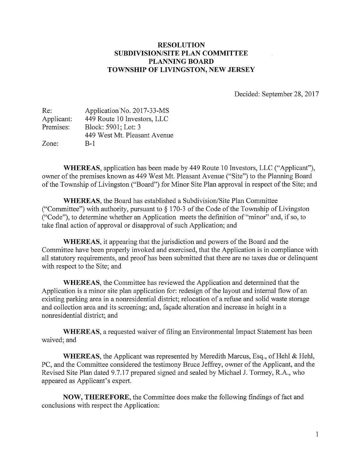#### RESOLUTION SUBDIVISION/SITE PLAN COMMITTEE PLANNING BOARD TOWNSHIP OF LIVINGSTON, NEW JERSEY

Decided: September 28, 2017

| Re:        | Application No. 2017-33-MS   |
|------------|------------------------------|
| Applicant: | 449 Route 10 Investors, LLC  |
| Premises:  | Block: 5901; Lot: 3          |
|            | 449 West Mt. Pleasant Avenue |
| Zone:      | $B-1$                        |

WHEREAS, application has been made by 449 Route 10 Investors, LLC ("Applicant"), owner of the premises known as 449 West Mt. Pleasant Avenue ("Site") to the Planning Board of the Township of Livingston ("Board") for Minor Site Plan approval in respect of the Site; and

WHEREAS, the Board has established a Subdivision/Site Plan Committee ("Committee") with authority, pursuant to  $\S 170-3$  of the Code of the Township of Livingston ("Code"), to determine whether an Application meets the definition of "minor" and, if so, to take final action of approval or disapproval of such Application; and

WHEREAS, it appearing that the jurisdiction and powers of the Board and the Committee have been properly invoked and exercised, that the Application is in compliance with all statutory requirements, and proof has been submitted that there are no taxes due or delinquent with respect to the Site; and

WHEREAS, the Committee has reviewed the Application and determined that the Application is a minor site plan application for: redesign of the layout and internal flow of an existing parking area in a nonresidential district; relocation of <sup>a</sup> refuse and solid waste storage and collection area and its screening; and, façade alteration and increase in height in a nonresidential district; and

WHEREAS, <sup>a</sup> requested waiver of filing an Environmental Impact Statement has been waived; and

WHEREAS, the Applicant was represented by Meredith Marcus, Esq., of Hehl & Hehl, PC, and the Committee considered the testimony Bruce Jeffrey, owner of the Applicant, and the Revised Site Plan dated 9.7.17 prepared signed and sealed by Michael J. Tormey, R.A., who appeared as Applicant's expert.

NOW, THEREFORE, the Committee does make the following findings of fact and conclusions with respect the Application: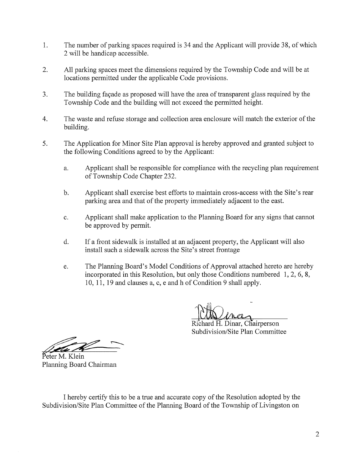- 1. The number of parking spaces required is 34 and the Applicant will provide 38, of which 2 will be handicap accessible.
- 2. All parking spaces meet the dimensions required by the Township Code and will be at locations permitted under the applicable Code provisions.
- 3. The building façade as proposed will have the area of transparent glass required by the Township Code and the building will not exceed the permitted height.
- 4. The waste and refuse storage and collection area enclosure will match the exterior of the building.
- 5. The Application for Minor Site Plan approval is hereby approved and granted subject to the following Conditions agreed to by the Applicant:
	- a. Applicant shall be responsible for compliance with the recycling plan requirement of Township Code Chapter 232.
	- b. Applicant shall exercise best efforts to maintain cross-access with the Site's rear parking area and that of the property immediately adjacent to the east.
	- c. Applicant shall make application to the Planning Board for any signs that cannot be approved by permit.
	- d. If <sup>a</sup> front sidewalk is installed at an adjacent property, the Applicant will also install such a sidewalk across the Site's street frontage
	- e. The Planning Board's Model Conditions of Approval attached hereto are hereby incorporated in this Resolution, but only those Conditions numbered 1, 2, 6, 8, 10, 11, 19 and clauses a, c, <sup>e</sup> and h of Condition <sup>9</sup> shall apply.

Richard H. Dinar, Chairperson Subdivision/Site Plan Committee

Peter M. Klein Planning Board Chairman

I hereby certify this to be <sup>a</sup> true and accurate copy of the Resolution adopted by the Subdivision/Site Plan Committee of the Planning Board of the Township of Livingston on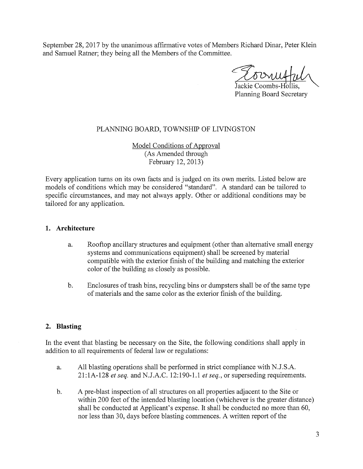September 28, 2017 by the unanimous affirmative votes of Members Richard Dinar, Peter Klein and Samuel Ratner; they being all the Members of the Committee.

Jackie Coombs-Hollis. Planning Board Secretary

#### PLANNING BOARD, TOWNSHIP OF LIVINGSTON

Model Conditions of Approval (As Amended through February 12, 2013)

Every application turns on its own facts and is judged on its own merits. Listed below are models of conditions which may be considered "standard". A standard can be tailored to specific circumstances, and may not always apply. Other or additional conditions may be tailored for any application.

#### 1. Architecture

- a. Rooftop ancillary structures and equipment (other than alternative small energy systems and communications equipment) shall be screened by material compatible with the exterior finish of the building and matching the exterior color of the building as closely as possible.
- b. Enclosures of trash bins, recycling bins or dumpsters shall be of the same type of materials and the same color as the exterior finish of the building.

#### 2. Blasting

In the event that blasting be necessary on the Site, the following conditions shall apply in addition to all requirements of federal law or regulations:

- a. All blasting operations shall be performed in strict compliance with N.J.S.A.  $21:1A-128$  et seq. and N.J.A.C. 12:190-1.1 et seq., or superseding requirements.
- b. A pre-blast inspection of all structures on all properties adjacent to the Site or within 200 feet of the intended blasting location (whichever is the greater distance) shall be conducted at Applicant's expense. It shall be conducted no more than 60, nor less than 30, days before blasting commences. A written report of the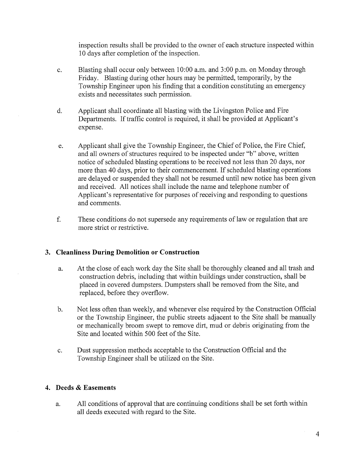inspection results shall be provided to the owner of each structure inspected within <sup>10</sup> days after completion of the inspection.

- c. Blasting shall occur only between 10:00 a.m. and 3:00 p.m. on Monday through Friday. Blasting during other hours may be permitted, temporarily, by the Township Engineer upon his finding that a condition constituting an emergency exists and necessitates such permission.
- d. Applicant shall coordinate all blasting with the Livingston Police and Fire Departments. If traffic control is required, it shall be provided at Applicant's expense.
- e. Applicant shall give the Township Engineer, the Chief of Police, the Fire Chief, and all owners of structures required to be inspected under "b" above, written notice of scheduled blasting operations to be received not less than 20 days, nor more than <sup>40</sup> days, prior to their commencement. If scheduled blasting operations are delayed or suspended they shall not be resumed until new notice has been given and received. All notices shall include the name and telephone number of Applicant's representative for purposes of receiving and responding to questions and comments.
- f. These conditions do not supersede any requirements of law or regulation that are more strict or restrictive.

#### 3. Cleanliness During Demolition or Construction

- a. At the close of each work day the Site shall be thoroughly cleaned and all trash and construction debris, including that within buildings under construction, shall be placed in covered dumpsters. Dumpsters shall be removed from the Site, and replaced, before they overflow.
- b. Not less often than weekly, and whenever else required by the Construction Official or the Township Engineer, the public streets adjacent to the Site shall be manually or mechanically broom swept to remove dirt, mud or debris originating from the Site and located within 500 feet of the Site.
- c. Dust suppression methods acceptable to the Construction Official and the Township Engineer shall be utilized on the Site.

#### 4. Deeds & Easements

a. All conditions of approval that are continuing conditions shall be set forth within all deeds executed with regard to the Site.

 $\bar{z}$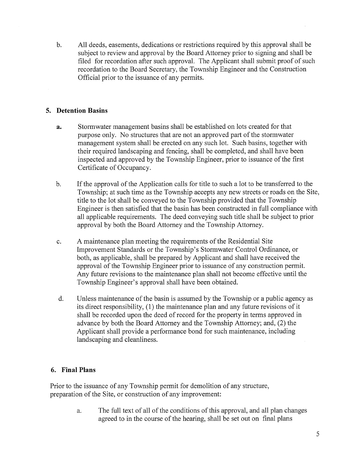b. All deeds, easements, dedications or restrictions required by this approval shall be subject to review and approval by the Board Attorney prior to signing and shall be filed for recordation after such approval. The Applicant shall submit proof of such recordation to the Board Secretary, the Township Engineer and the Construction Official prior to the issuance of any permits.

#### 5. Detention Basins

- a. Stormwater management basins shall be established on lots created for that purpose only. No structures that are not an approved part of the stormwater management system shall be erected on any such lot. Such basins, together with their required landscaping and fencing, shall be completed, and shall have been inspected and approved by the Township Engineer, prior to issuance of the first Certificate of Occupancy.
- b. If the approval of the Application calls for title to such <sup>a</sup> lot to be transferred to the Township; at such time as the Township accepts any new streets or roads on the Site, title to the lot shall be conveyed to the Township provided that the Township Engineer is then satisfied that the basin has been constructed in full compliance with all applicable requirements. The deed conveying such title shall be subject to prior approval by both the Board Attorney and the Township Attorney.
- c. A maintenance plan meeting the requirements of the Residential Site Improvement Standards or the Township's Stormwater Control Ordinance, or both, as applicable, shall be prepared by Applicant and shall have received the approval of the Township Engineer prior to issuance of any construction permit. Any future revisions to the maintenance plan shall not become effective until the Township Engineer's approval shall have been obtained.
- d. Unless maintenance of the basin is assumed by the Township or <sup>a</sup> public agency as its direct responsibility, (1) the maintenance plan and any future revisions of it shall be recorded upon the deed of record for the property in terms approved in advance by both the Board Attorney and the Township Attorney; and, (2) the Applicant shall provide a performance bond for such maintenance, including landscaping and cleanliness.

## 6. Final Plans

Prior to the issuance of any Township permit for demolition of any structure, preparation of the Site, or construction of any improvement:

> a. The full text of all of the conditions of this approval, and all plan changes agreed to in the course of the hearing, shall be set out on final plans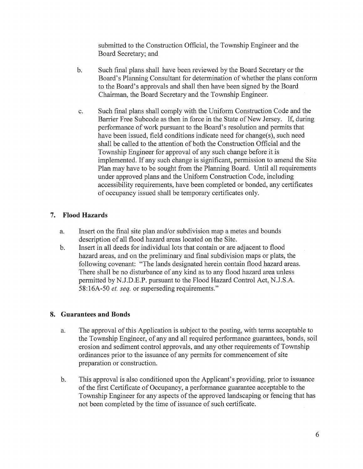submitted to the Construction Official, the Township Engineer and the Board Secretary; and

- b. Such final plans shall have been reviewed by the Board Secretary or the Board's Planning Consultant for determination of whether the plans conform to the Board's approvals and shall then have been signed by the Board Chairman, the Board Secretary and the Township Engineer.
- c. Such final plans shall comply with the Uniform Construction Code and the Barrier Free Subcode as then in force in the State of New Jersey. If, during performance of work pursuant to the Board's resolution and permits that have been issued, field conditions indicate need for change(s), such need shall be called to the attention of both the Construction Official and the Township Engineer for approval of any such change before it is implemented. If any such change is significant, permission to amend the Site Plan may have to be sought from the Planning Board. Until all requirements under approved plans and the Uniform Construction Code, including accessibility requirements, have been completed or bonded, any certificates of occupancy issued shall be temporary certificates only.

# 7. Flood Hazards

- a. Insert on the final site plan and/or subdivision map a metes and bounds description of all flood hazard areas located on the Site.
- b. Insert in all deeds for individual lots that contain or are adjacent to flood hazard areas, and on the preliminary and final subdivision maps or plats, the following covenant: "The lands designated herein contain flood hazard areas. There shall be no disturbance of any kind as to any flood hazard area unless permitted by N.J.D.E.P. pursuant to the Flood Hazard Control Act, N.J.S.A. 58:16A-50 *et. seq.* or superseding requirements."

## 8. Guarantees and Bonds

- a. The approval of this Application is subject to the posting, with terms acceptable to the Township Engineer, of any and all required performance guarantees, bonds, soil erosion and sediment control approvals, and any other requirements of Township ordinances prior to the issuance of any permits for commencement of site preparation or construction.
- b. This approval is also conditioned upon the Applicant's providing, prior to issuance of the first Certificate of Occupancy, a performance guarantee acceptable to the Township Engineer for any aspects of the approved landscaping or fencing that has not been completed by the time of issuance of such certificate.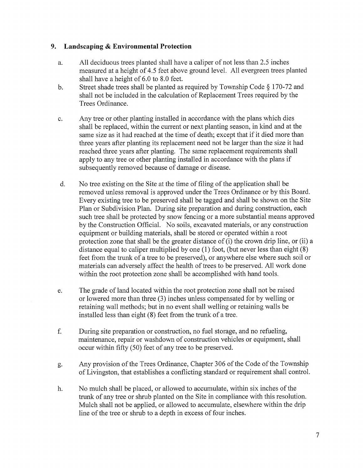#### 9. Landscaping & Environmental Protection

- a. All deciduous trees planted shall have <sup>a</sup> caliper of not less than 2.5 inches measured at <sup>a</sup> height of 4.5 feet above ground level. All evergreen trees planted shall have <sup>a</sup> height of 6.0 to 8.0 feet.
- b. Street shade trees shall be planted as required by Township Code § 170-72 and shall not be included in the calculation of Replacement Trees required by the Trees Ordinance.
- c. Any tree or other planting installed in accordance with the plans which dies shall be replaced, within the current or next planting season, in kind and at the same size as it had reached at the time of death; except that if it died more than three years after planting its replacement need not be larger than the size it had reached three years after planting. The same replacement requirements shall apply to any tree or other planting installed in accordance with the plans if subsequently removed because of damage or disease.
- d. No tree existing on the Site at the time of filing of the application shall be removed unless removal is approved under the Trees Ordinance or by this Board. Every existing tree to be preserved shall be tagged and shall be shown on the Site Plan or Subdivision Plan. During site preparation and during construction, each such tree shall be protected by snow fencing or a more substantial means approved by the Construction Official. No soils, excavated materials, or any construction equipment or building materials, shall be stored or operated within a root protection zone that shall be the greater distance of (i) the crown drip line, or (ii) <sup>a</sup> distance equal to caliper multiplied by one (1) foot, (but never less than eight (8) feet from the trunk of <sup>a</sup> tree to be preserved), or anywhere else where such soil or materials can adversely affect the health of trees to be preserved. All work done within the root protection zone shall be accomplished with hand tools.
- e. The grade of land located within the root protection zone shall not be raised or lowered more than three (3) inches unless compensated for by welling or retaining wall methods; but in no event shall welling or retaining walls be installed less than eight (8) feet from the trunk of <sup>a</sup> tree.
- f. During site preparation or construction, no fuel storage, and no refueling, maintenance, repair or washdown of construction vehicles or equipment, shall occur within fifty (50) feet of any tree to be preserved.
- g. Any provision of the Trees Ordinance, Chapter 306 of the Code of the Township of Livingston, that establishes <sup>a</sup> conflicting standard or requirement shall control.
- h. No mulch shall be placed, or allowed to accumulate, within six inches of the trunk of any tree or shrub planted on the Site in compliance with this resolution. Mulch shall not be applied, or allowed to accumulate, elsewhere within the drip line of the tree or shrub to <sup>a</sup> depth in excess of four inches.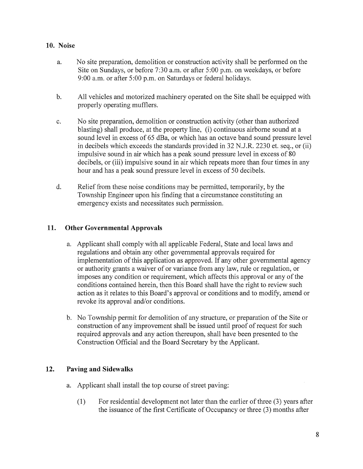## 10. Noise

- a. No site preparation, demolition or construction activity shall be performed on the Site on Sundays, or before 7:30 a.m. or after 5:00 p.m. on weekdays, or before 9:00 a.m. or after 5:00 p.m. on Saturdays or federal holidays.
- b. All vehicles and motorized machinery operated on the Site shall be equipped with properly operating mufflers.
- c. No site preparation, demolition or construction activity (other than authorized blasting) shall produce, at the property line, (i) continuous airborne sound at a sound level in excess of 65 dBa, or which has an octave band sound pressure level in decibels which exceeds the standards provided in 32 N.J.R. 2230 et. seq., or (ii) impulsive sound in air which has a peak sound pressure level in excess of 80 decibels, or (iii) impulsive sound in air which repeats more than four times in any hour and has <sup>a</sup> peak sound pressure level in excess of 50 decibels.
- d. Relief from these noise conditions may be permitted, temporarily, by the Township Engineer upon his finding that a circumstance constituting an emergency exists and necessitates such permission.

## 11. Other Governmental Approvals

- a. Applicant shall comply with all applicable Federal, State and local laws and regulations and obtain any other governmental approvals required for implementation of this application as approved. If any other governmental agency or authority grants <sup>a</sup> waiver of or variance from any law, rule or regulation, or imposes any condition or requirement, which affects this approval or any of the conditions contained herein, then this Board shall have the right to review such action as it relates to this Board's approval or conditions and to modify, amend or revoke its approval and/or conditions.
- b. No Township permit for demolition of any structure, or preparation of the Site or construction of any improvement shall be issued until proof of request for such required approvals and any action thereupon, shall have been presented to the Construction Official and the Board Secretary by the Applicant.

## 12. Paving and Sidewalks

- a. Applicant shall install the top course of street paving:
	- (1) For residential development not later than the earlier of three (3) years after the issuance of the first Certificate of Occupancy or three (3) months after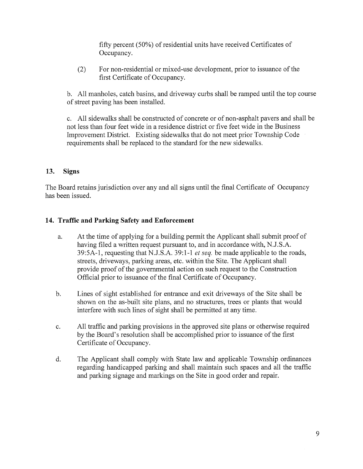fifty percent (50%) of residential units have received Certificates of Occupancy.

(2) For non-residential or mixed-use development, prior to issuance of the first Certificate of Occupancy.

b. All manholes, catch basins, and driveway curbs shall be ramped until the top course of street paving has been installed.

c. All sidewalks shall be constructed of concrete or of non-asphalt payers and shall be not less than four feet wide in a residence district or five feet wide in the Business Improvement District. Existing sidewalks that do not meet prior Township Code requirements shall be replaced to the standard for the new sidewalks.

## 13. Signs

The Board retains jurisdiction over any and all signs until the final Certificate of Occupancy has been issued.

# 14. Traffic and Parking Safety and Enforcement

- a. At the time of applying for <sup>a</sup> building permit the Applicant shall submit proof of having filed a written request pursuant to, and in accordance with, N.J.S.A. 39:5A-1, requesting that N.J.S.A. 39:1-1 *et seq.* be made applicable to the roads, streets, driveways, parking areas, etc. within the Site. The Applicant shall provide proof of the governmental action on such request to the Construction Official prior to issuance of the final Certificate of Occupancy.
- b. Lines of sight established for entrance and exit driveways of the Site shall be shown on the as-built site plans, and no structures, trees or plants that would interfere with such lines of sight shall be permitted at any time.
- c. All traffic and parking provisions in the approved site plans or otherwise required by the Board's resolution shall be accomplished prior to issuance of the first Certificate of Occupancy.
- d. The Applicant shall comply with State law and applicable Township ordinances regarding handicapped parking and shall maintain such spaces and all the traffic and parking signage and markings on the Site in good order and repair.